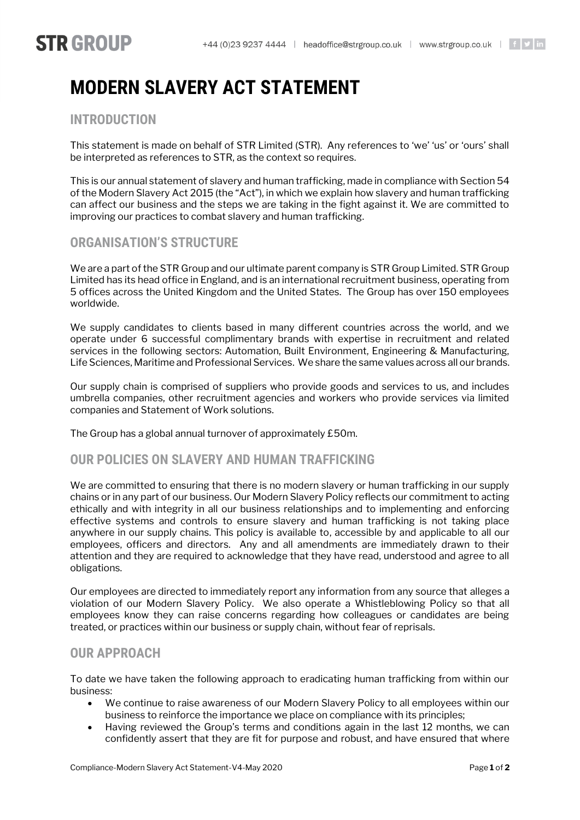# **STR GROUP**

# **MODERN SLAVERY ACT STATEMENT**

# **INTRODUCTION**

This statement is made on behalf of STR Limited (STR). Any references to 'we' 'us' or 'ours' shall be interpreted as references to STR, as the context so requires.

This is our annual statement of slavery and human trafficking, made in compliance with Section 54 of the Modern Slavery Act 2015 (the "Act"), in which we explain how slavery and human trafficking can affect our business and the steps we are taking in the fight against it. We are committed to improving our practices to combat slavery and human trafficking.

## **ORGANISATION'S STRUCTURE**

We are a part of the STR Group and our ultimate parent company is STR Group Limited. STR Group Limited has its head office in England, and is an international recruitment business, operating from 5 offices across the United Kingdom and the United States. The Group has over 150 employees worldwide.

We supply candidates to clients based in many different countries across the world, and we operate under 6 successful complimentary brands with expertise in recruitment and related services in the following sectors: Automation, Built Environment, Engineering & Manufacturing, Life Sciences, Maritime and Professional Services. We share the same values across all our brands.

Our supply chain is comprised of suppliers who provide goods and services to us, and includes umbrella companies, other recruitment agencies and workers who provide services via limited companies and Statement of Work solutions.

The Group has a global annual turnover of approximately £50m.

### **OUR POLICIES ON SLAVERY AND HUMAN TRAFFICKING**

We are committed to ensuring that there is no modern slavery or human trafficking in our supply chains or in any part of our business. Our Modern Slavery Policy reflects our commitment to acting ethically and with integrity in all our business relationships and to implementing and enforcing effective systems and controls to ensure slavery and human trafficking is not taking place anywhere in our supply chains. This policy is available to, accessible by and applicable to all our employees, officers and directors. Any and all amendments are immediately drawn to their attention and they are required to acknowledge that they have read, understood and agree to all obligations.

Our employees are directed to immediately report any information from any source that alleges a violation of our Modern Slavery Policy. We also operate a Whistleblowing Policy so that all employees know they can raise concerns regarding how colleagues or candidates are being treated, or practices within our business or supply chain, without fear of reprisals.

### **OUR APPROACH**

To date we have taken the following approach to eradicating human trafficking from within our business:

- We continue to raise awareness of our Modern Slavery Policy to all employees within our business to reinforce the importance we place on compliance with its principles;
- Having reviewed the Group's terms and conditions again in the last 12 months, we can confidently assert that they are fit for purpose and robust, and have ensured that where